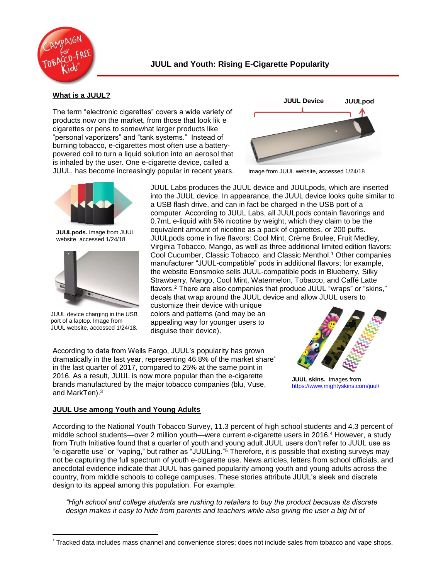

## **What is a JUUL?**

The term "electronic cigarettes" covers a wide variety of products now on the market, from those that look lik e cigarettes or pens to somewhat larger products like "personal vaporizers" and "tank systems." Instead of burning tobacco, e-cigarettes most often use a batterypowered coil to turn a liquid solution into an aerosol that is inhaled by the user. One e-cigarette device, called a JUUL, has become increasingly popular in recent years.



**JUULpods.** Image from JUUL website, accessed 1/24/18



JUUL device charging in the USB port of a laptop. Image from JUUL website, accessed 1/24/18.



Image from JUUL website, accessed 1/24/18

JUUL Labs produces the JUUL device and JUULpods, which are inserted into the JUUL device. In appearance, the JUUL device looks quite similar to a USB flash drive, and can in fact be charged in the USB port of a computer. According to JUUL Labs, all JUULpods contain flavorings and 0.7mL e-liquid with 5% nicotine by weight, which they claim to be the equivalent amount of nicotine as a pack of cigarettes, or 200 puffs. JUULpods come in five flavors: Cool Mint, Crème Brulee, Fruit Medley, Virginia Tobacco, Mango, as well as three additional limited edition flavors: Cool Cucumber, Classic Tobacco, and Classic Menthol.<sup>1</sup> Other companies manufacturer "JUUL-compatible" pods in additional flavors; for example, the website Eonsmoke sells JUUL-compatible pods in Blueberry, Silky Strawberry, Mango, Cool Mint, Watermelon, Tobacco, and Caffé Latte flavors.<sup>2</sup> There are also companies that produce JUUL "wraps" or "skins," decals that wrap around the JUUL device and allow JUUL users to

customize their device with unique colors and patterns (and may be an appealing way for younger users to disguise their device).

According to data from Wells Fargo, JUUL's popularity has grown dramatically in the last year, representing 46.8% of the market share\* in the last quarter of 2017, compared to 25% at the same point in 2016. As a result, JUUL is now more popular than the e-cigarette brands manufactured by the major tobacco companies (blu, Vuse, and MarkTen). $^3$ 



**JUUL skins.** Images from <https://www.mightyskins.com/juul/>

# **JUUL Use among Youth and Young Adults**

According to the National Youth Tobacco Survey, 11.3 percent of high school students and 4.3 percent of middle school students—over 2 million youth—were current e-cigarette users in 2016. <sup>4</sup> However, a study from Truth Initiative found that a quarter of youth and young adult JUUL users don't refer to JUUL use as "e-cigarette use" or "vaping," but rather as "JUULing."<sup>5</sup> Therefore, it is possible that existing surveys may not be capturing the full spectrum of youth e-cigarette use. News articles, letters from school officials, and anecdotal evidence indicate that JUUL has gained popularity among youth and young adults across the country, from middle schools to college campuses. These stories attribute JUUL's sleek and discrete design to its appeal among this population. For example:

*"High school and college students are rushing to retailers to buy the product because its discrete*  design makes it easy to hide from parents and teachers while also giving the user a big hit of

 $\overline{a}$ \* Tracked data includes mass channel and convenience stores; does not include sales from tobacco and vape shops.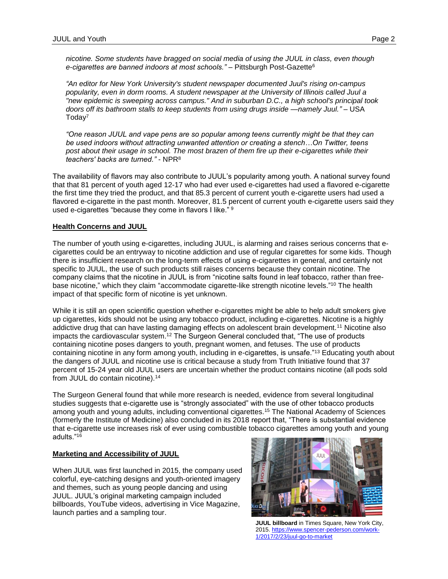*nicotine. Some students have bragged on social media of using the JUUL in class, even though e-cigarettes are banned indoors at most schools." –* Pittsburgh Post-Gazette<sup>6</sup>

*"An editor for New York University's student newspaper documented Juul's rising on-campus popularity, even in dorm rooms. A student newspaper at the University of Illinois called Juul a "new epidemic is sweeping across campus." And in suburban D.C., a high school's principal took doors off its bathroom stalls to keep students from using drugs inside —namely Juul."* – USA Today<sup>7</sup>

*"One reason JUUL and vape pens are so popular among teens currently might be that they can be used indoors without attracting unwanted attention or creating a stench…On Twitter, teens post about their usage in school. The most brazen of them fire up their e-cigarettes while their teachers' backs are turned."* - NPR<sup>8</sup>

The availability of flavors may also contribute to JUUL's popularity among youth. A national survey found that that 81 percent of youth aged 12-17 who had ever used e-cigarettes had used a flavored e-cigarette the first time they tried the product, and that 85.3 percent of current youth e-cigarette users had used a flavored e-cigarette in the past month. Moreover, 81.5 percent of current youth e-cigarette users said they used e-cigarettes "because they come in flavors I like." <sup>9</sup>

### **Health Concerns and JUUL**

The number of youth using e-cigarettes, including JUUL, is alarming and raises serious concerns that ecigarettes could be an entryway to nicotine addiction and use of regular cigarettes for some kids. Though there is insufficient research on the long-term effects of using e-cigarettes in general, and certainly not specific to JUUL, the use of such products still raises concerns because they contain nicotine. The company claims that the nicotine in JUUL is from "nicotine salts found in leaf tobacco, rather than freebase nicotine," which they claim "accommodate cigarette-like strength nicotine levels." <sup>10</sup> The health impact of that specific form of nicotine is yet unknown.

While it is still an open scientific question whether e-cigarettes might be able to help adult smokers give up cigarettes, kids should not be using any tobacco product, including e-cigarettes. Nicotine is a highly addictive drug that can have lasting damaging effects on adolescent brain development.<sup>11</sup> Nicotine also impacts the cardiovascular system.<sup>12</sup> The Surgeon General concluded that, "The use of products containing nicotine poses dangers to youth, pregnant women, and fetuses. The use of products containing nicotine in any form among youth, including in e-cigarettes, is unsafe."<sup>13</sup> Educating youth about the dangers of JUUL and nicotine use is critical because a study from Truth Initiative found that 37 percent of 15-24 year old JUUL users are uncertain whether the product contains nicotine (all pods sold from JUUL do contain nicotine).<sup>14</sup>

The Surgeon General found that while more research is needed, evidence from several longitudinal studies suggests that e-cigarette use is "strongly associated" with the use of other tobacco products among youth and young adults, including conventional cigarettes.<sup>15</sup> The National Academy of Sciences (formerly the Institute of Medicine) also concluded in its 2018 report that, "There is substantial evidence that e-cigarette use increases risk of ever using combustible tobacco cigarettes among youth and young adults."<sup>16</sup>

### **Marketing and Accessibility of JUUL**

When JUUL was first launched in 2015, the company used colorful, eye-catching designs and youth-oriented imagery and themes, such as young people dancing and using JUUL. JUUL's original marketing campaign included billboards, YouTube videos, advertising in Vice Magazine, launch parties and a sampling tour.



**JUUL billboard** in Times Square, New York City, 2015[. https://www.spencer-pederson.com/work-](https://www.spencer-pederson.com/work-1/2017/2/23/juul-go-to-market)[1/2017/2/23/juul-go-to-market](https://www.spencer-pederson.com/work-1/2017/2/23/juul-go-to-market)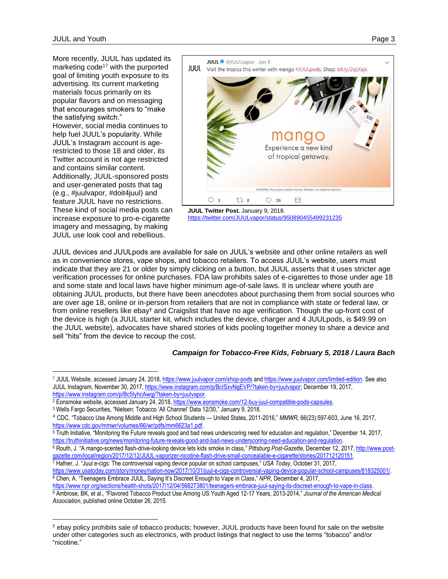$\overline{a}$ 

More recently, JUUL has updated its marketing code<sup>17</sup> with the purported goal of limiting youth exposure to its advertising. Its current marketing materials focus primarily on its popular flavors and on messaging that encourages smokers to "make the satisfying switch." However, social media continues to help fuel JUUL's popularity. While JUUL's Instagram account is agerestricted to those 18 and older, its Twitter account is not age restricted and contains similar content. Additionally, JUUL-sponsored posts and user-generated posts that tag (e.g., #juulvapor, #doit4juul) and feature JUUL have no restrictions. These kind of social media posts can increase exposure to pro-e-cigarette imagery and messaging, by making JUUL use look cool and rebellious.





JUUL devices and JUULpods are available for sale on JUUL's website and other online retailers as well as in convenience stores, vape shops, and tobacco retailers. To access JUUL's website, users must indicate that they are 21 or older by simply clicking on a button, but JUUL asserts that it uses stricter age verification processes for online purchases. FDA law prohibits sales of e-cigarettes to those under age 18 and some state and local laws have higher minimum age-of-sale laws. It is unclear where youth are obtaining JUUL products, but there have been anecdotes about purchasing them from social sources who are over age 18, online or in-person from retailers that are not in compliance with state or federal law, or from online resellers like ebay† and Craigslist that have no age verification. Though the up-front cost of the device is high (a JUUL starter kit, which includes the device, charger and 4 JUULpods, is \$49.99 on the JUUL website), advocates have shared stories of kids pooling together money to share a device and sell "hits" from the device to recoup the cost.

### *Campaign for Tobacco-Free Kids, February 5, 2018 / Laura Bach*

<sup>8</sup> Chen, A. "Teenagers Embrace JUUL, Saying It's Discreet Enough to Vape in Class," *NPR*, December 4, 2017, [https://www.npr.org/sections/health-shots/2017/12/04/568273801/teenagers-embrace-juul-saying-its-discreet-enough-to-vape-in-class.](https://www.npr.org/sections/health-shots/2017/12/04/568273801/teenagers-embrace-juul-saying-its-discreet-enough-to-vape-in-class)  <sup>9</sup> Ambrose, BK, et al., "Flavored Tobacco Product Use Among US Youth Aged 12-17 Years, 2013-2014," *Journal of the American Medical Association*, published online October 26, 2015.

<sup>1</sup> JUUL Website, accessed January 24, 2018, <https://www.juulvapor.com/shop-pods> an[d https://www.juulvapor.com/limited-edition.](https://www.juulvapor.com/limited-edition) See also JUUL Instagram, November 30, 2017[, https://www.instagram.com/p/BcISxvNgEVP/?taken-by=juulvapor;](https://www.instagram.com/p/BcISxvNgEVP/?taken-by=juulvapor) December 19, 2017, [https://www.instagram.com/p/Bc5IyhcAwqj/?taken-by=juulvapor.](https://www.instagram.com/p/Bc5IyhcAwqj/?taken-by=juulvapor) 

 $^2$  Eonsmoke website, accessed January 24, 2018[, https://www.eonsmoke.com/12-buy-juul-compatible-pods-capsules.](https://www.eonsmoke.com/12-buy-juul-compatible-pods-capsules)

<sup>3</sup> Wells Fargo Securities, "Nielsen: Tobacco 'All Channel' Data 12/30," January 9, 2018.

<sup>4</sup> CDC, "Tobacco Use Among Middle and High School Students — United States, 2011-2016," *MMWR,* 66(23):597-603, June 16, 2017, [https://www.cdc.gov/mmwr/volumes/66/wr/pdfs/mm6623a1.pdf.](https://www.cdc.gov/mmwr/volumes/66/wr/pdfs/mm6623a1.pdf)

<sup>5</sup> Truth Initiative, "Monitoring the Future reveals good and bad news underscoring need for education and regulation," December 14, 2017, [https://truthinitiative.org/news/monitoring-future-reveals-good-and-bad-news-underscoring-need-education-and-regulation.](https://truthinitiative.org/news/monitoring-future-reveals-good-and-bad-news-underscoring-need-education-and-regulation) 

<sup>6</sup> Routh, J. "A mango-scented flash-drive-looking device lets kids smoke in class," *Pittsburg Post-Gazette*, December 12, 2017, [http://www.post](http://www.post-gazette.com/local/region/2017/12/12/JUUL-vaporizer-nicotine-flash-drive-small-concealable-e-cigarette/stories/201712120151)[gazette.com/local/region/2017/12/12/JUUL-vaporizer-nicotine-flash-drive-small-concealable-e-cigarette/stories/201712120151.](http://www.post-gazette.com/local/region/2017/12/12/JUUL-vaporizer-nicotine-flash-drive-small-concealable-e-cigarette/stories/201712120151) 

<sup>7</sup> Hafner, J. "Juul e-cigs: The controversial vaping device popular on school campuses," *USA Today*, October 31, 2017, [https://www.usatoday.com/story/money/nation-now/2017/10/31/juul-e-cigs-controversial-vaping-device-popular-school-campuses/818325001/.](https://www.usatoday.com/story/money/nation-now/2017/10/31/juul-e-cigs-controversial-vaping-device-popular-school-campuses/818325001/) 

 $\overline{a}$ † ebay policy prohibits sale of tobacco products; however, JUUL products have been found for sale on the website under other categories such as electronics, with product listings that neglect to use the terms "tobacco" and/or "nicotine."